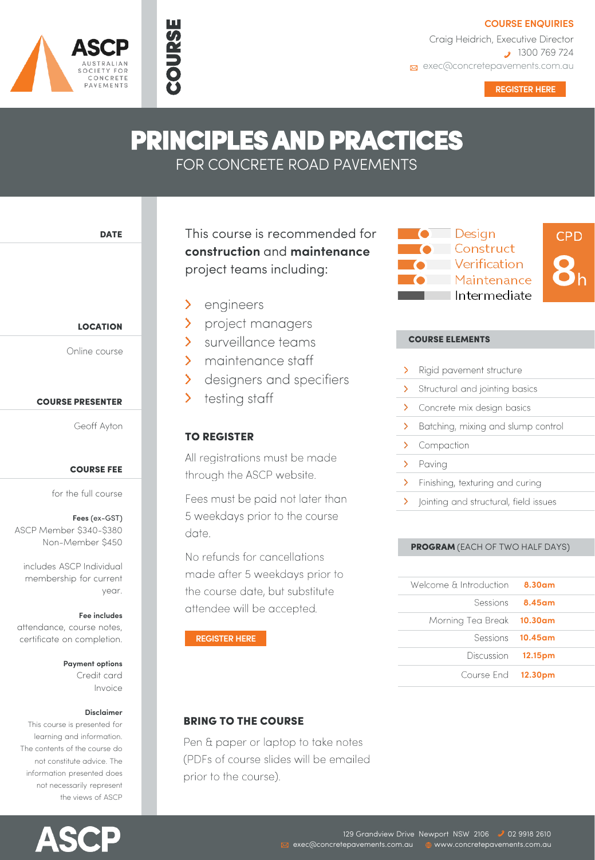**COURSE ENQUIRIES**

Craig Heidrich, Executive Director 1300 769 724 **Exp** exec@concretepavements.com.au

**[REGISTER HERE](https://concretepavements.com.au/events/ascp-principles-and-practices-nov-2021/) REGISTER HERE**

# PRINCIPLES AND PRACTICES

FOR CONCRETE ROAD PAVEMENTS

DATE

 $F \cap D$ CONCRETE PAVEMENTS

LOCATION

Online course

## COURSE PRESENTER

Geoff Ayton

## COURSE FEE

for the full course

**Fees** (ex-GST) ASCP Member \$340-\$380 Non-Member \$450

includes ASCP Individual membership for current year.

#### **Fee includes**

attendance, course notes, certificate on completion.

## **Payment options**

Credit card Invoice

#### **Disclaimer**

This course is presented for learning and information. The contents of the course do not constitute advice. The information presented does not necessarily represent the views of ASCP



This course is recommended for **construction** and **maintenance** project teams including:

ゝ engineers

COURSE

- project managers  $\sum$
- surveillance teams  $\sum$
- $\sum$ maintenance staff
- designers and specifiers  $\sum_{i=1}^{n}$
- testing staff  $\mathbf{\Sigma}$

# TO REGISTER

All registrations must be made through the ASCP website.

Fees must be paid not later than 5 weekdays prior to the course date.

No refunds for cancellations made after 5 weekdays prior to the course date, but substitute attendee will be accepted.

**[REGISTER HERE](https://www.concretepavements.com.au/events/ascp-principals-and-practices/)**

# BRING TO THE COURSE

Pen & paper or laptop to take notes (PDFs of course slides will be emailed prior to the course).



## COURSE ELEMENTS

|   | Rigid pavement structure              |
|---|---------------------------------------|
| ⋋ | Structural and jointing basics        |
| ⋋ | Concrete mix design basics            |
|   | Batching, mixing and slump control    |
| ≻ | Compaction                            |
| ⋗ | Paving                                |
| ≻ | Finishing, texturing and curing       |
|   | Jointing and structural, field issues |
|   |                                       |

## PROGRAM (EACH OF TWO HALF DAYS)

|                         | Welcome & Introduction 8.30am |
|-------------------------|-------------------------------|
| Sessions 8.45am         |                               |
|                         | Morning Tea Break 10.30am     |
| Sessions <b>10.45am</b> |                               |
|                         | Discussion 12.15pm            |
|                         | Course End 12.30pm            |
|                         |                               |